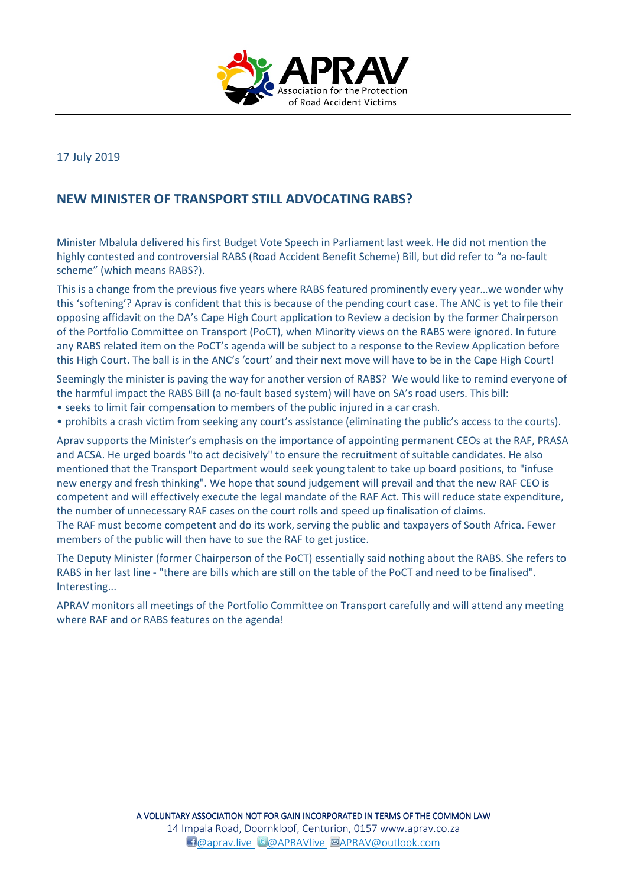

17 July 2019

## **NEW MINISTER OF TRANSPORT STILL ADVOCATING RABS?**

Minister Mbalula delivered his first Budget Vote Speech in Parliament last week. He did not mention the highly contested and controversial RABS (Road Accident Benefit Scheme) Bill, but did refer to "a no-fault scheme" (which means RABS?).

This is a change from the previous five years where RABS featured prominently every year…we wonder why this 'softening'? Aprav is confident that this is because of the pending court case. The ANC is yet to file their opposing affidavit on the DA's Cape High Court application to Review a decision by the former Chairperson of the Portfolio Committee on Transport (PoCT), when Minority views on the RABS were ignored. In future any RABS related item on the PoCT's agenda will be subject to a response to the Review Application before this High Court. The ball is in the ANC's 'court' and their next move will have to be in the Cape High Court!

Seemingly the minister is paving the way for another version of RABS? We would like to remind everyone of the harmful impact the RABS Bill (a no-fault based system) will have on SA's road users. This bill:

- seeks to limit fair compensation to members of the public injured in a car crash.
- prohibits a crash victim from seeking any court's assistance (eliminating the public's access to the courts).

Aprav supports the Minister's emphasis on the importance of appointing permanent CEOs at the RAF, PRASA and ACSA. He urged boards "to act decisively" to ensure the recruitment of suitable candidates. He also mentioned that the Transport Department would seek young talent to take up board positions, to "infuse new energy and fresh thinking". We hope that sound judgement will prevail and that the new RAF CEO is competent and will effectively execute the legal mandate of the RAF Act. This will reduce state expenditure, the number of unnecessary RAF cases on the court rolls and speed up finalisation of claims. The RAF must become competent and do its work, serving the public and taxpayers of South Africa. Fewer members of the public will then have to sue the RAF to get justice.

The Deputy Minister (former Chairperson of the PoCT) essentially said nothing about the RABS. She refers to RABS in her last line - "there are bills which are still on the table of the PoCT and need to be finalised". Interesting...

APRAV monitors all meetings of the Portfolio Committee on Transport carefully and will attend any meeting where RAF and or RABS features on the agenda!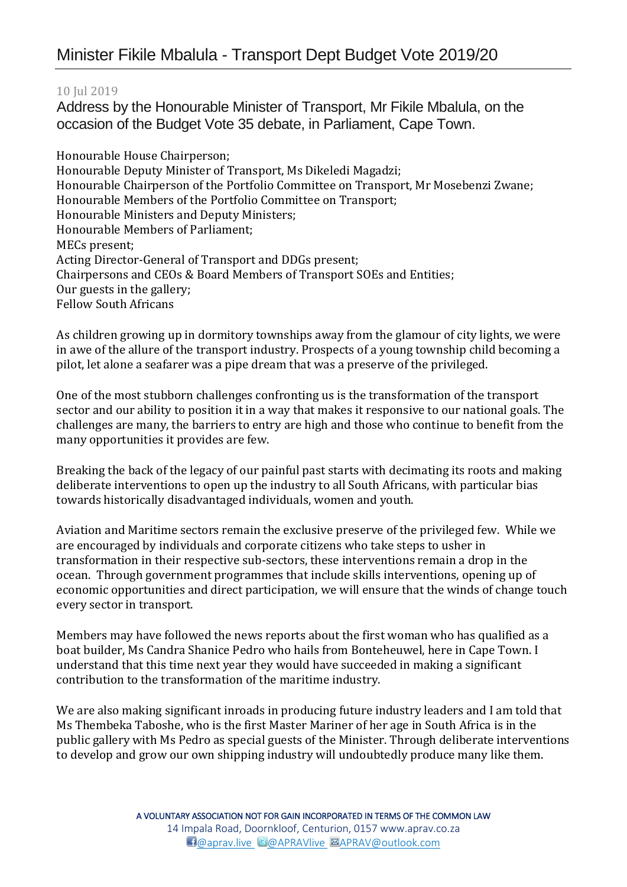## Minister Fikile Mbalula - Transport Dept Budget Vote 2019/20

## 10 Jul 2019

Address by the Honourable Minister of Transport, Mr Fikile Mbalula, on the occasion of the Budget Vote 35 debate, in Parliament, Cape Town.

Honourable House Chairperson; Honourable Deputy Minister of Transport, Ms Dikeledi Magadzi; Honourable Chairperson of the Portfolio Committee on Transport, Mr Mosebenzi Zwane; Honourable Members of the Portfolio Committee on Transport; Honourable Ministers and Deputy Ministers; Honourable Members of Parliament; MECs present; Acting Director-General of Transport and DDGs present; Chairpersons and CEOs & Board Members of Transport SOEs and Entities; Our guests in the gallery; Fellow South Africans

As children growing up in dormitory townships away from the glamour of city lights, we were in awe of the allure of the transport industry. Prospects of a young township child becoming a pilot, let alone a seafarer was a pipe dream that was a preserve of the privileged.

One of the most stubborn challenges confronting us is the transformation of the transport sector and our ability to position it in a way that makes it responsive to our national goals. The challenges are many, the barriers to entry are high and those who continue to benefit from the many opportunities it provides are few.

Breaking the back of the legacy of our painful past starts with decimating its roots and making deliberate interventions to open up the industry to all South Africans, with particular bias towards historically disadvantaged individuals, women and youth.

Aviation and Maritime sectors remain the exclusive preserve of the privileged few. While we are encouraged by individuals and corporate citizens who take steps to usher in transformation in their respective sub-sectors, these interventions remain a drop in the ocean. Through government programmes that include skills interventions, opening up of economic opportunities and direct participation, we will ensure that the winds of change touch every sector in transport.

Members may have followed the news reports about the first woman who has qualified as a boat builder, Ms Candra Shanice Pedro who hails from Bonteheuwel, here in Cape Town. I understand that this time next year they would have succeeded in making a significant contribution to the transformation of the maritime industry.

We are also making significant inroads in producing future industry leaders and I am told that Ms Thembeka Taboshe, who is the first Master Mariner of her age in South Africa is in the public gallery with Ms Pedro as special guests of the Minister. Through deliberate interventions to develop and grow our own shipping industry will undoubtedly produce many like them.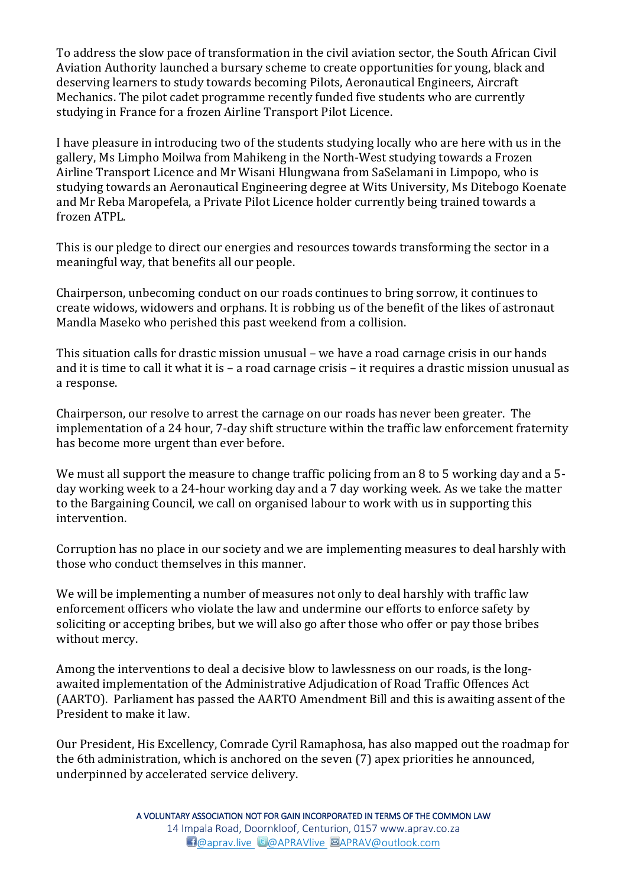To address the slow pace of transformation in the civil aviation sector, the South African Civil Aviation Authority launched a bursary scheme to create opportunities for young, black and deserving learners to study towards becoming Pilots, Aeronautical Engineers, Aircraft Mechanics. The pilot cadet programme recently funded five students who are currently studying in France for a frozen Airline Transport Pilot Licence.

I have pleasure in introducing two of the students studying locally who are here with us in the gallery, Ms Limpho Moilwa from Mahikeng in the North-West studying towards a Frozen Airline Transport Licence and Mr Wisani Hlungwana from SaSelamani in Limpopo, who is studying towards an Aeronautical Engineering degree at Wits University, Ms Ditebogo Koenate and Mr Reba Maropefela, a Private Pilot Licence holder currently being trained towards a frozen ATPL.

This is our pledge to direct our energies and resources towards transforming the sector in a meaningful way, that benefits all our people.

Chairperson, unbecoming conduct on our roads continues to bring sorrow, it continues to create widows, widowers and orphans. It is robbing us of the benefit of the likes of astronaut Mandla Maseko who perished this past weekend from a collision.

This situation calls for drastic mission unusual – we have a road carnage crisis in our hands and it is time to call it what it is – a road carnage crisis – it requires a drastic mission unusual as a response.

Chairperson, our resolve to arrest the carnage on our roads has never been greater. The implementation of a 24 hour, 7-day shift structure within the traffic law enforcement fraternity has become more urgent than ever before.

We must all support the measure to change traffic policing from an 8 to 5 working day and a 5day working week to a 24-hour working day and a 7 day working week. As we take the matter to the Bargaining Council, we call on organised labour to work with us in supporting this intervention.

Corruption has no place in our society and we are implementing measures to deal harshly with those who conduct themselves in this manner.

We will be implementing a number of measures not only to deal harshly with traffic law enforcement officers who violate the law and undermine our efforts to enforce safety by soliciting or accepting bribes, but we will also go after those who offer or pay those bribes without mercy.

Among the interventions to deal a decisive blow to lawlessness on our roads, is the longawaited implementation of the Administrative Adjudication of Road Traffic Offences Act (AARTO). Parliament has passed the AARTO Amendment Bill and this is awaiting assent of the President to make it law.

Our President, His Excellency, Comrade Cyril Ramaphosa, has also mapped out the roadmap for the 6th administration, which is anchored on the seven (7) apex priorities he announced, underpinned by accelerated service delivery.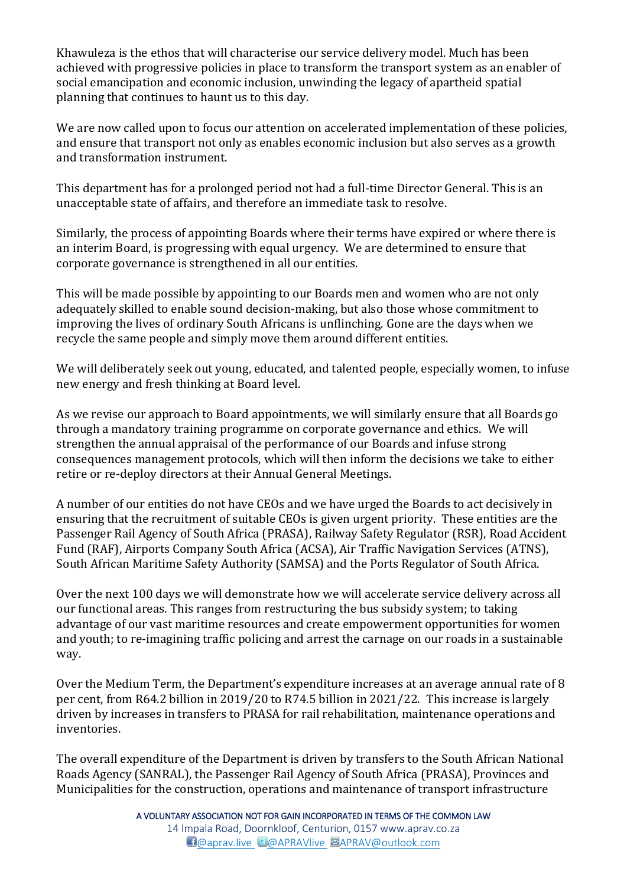Khawuleza is the ethos that will characterise our service delivery model. Much has been achieved with progressive policies in place to transform the transport system as an enabler of social emancipation and economic inclusion, unwinding the legacy of apartheid spatial planning that continues to haunt us to this day.

We are now called upon to focus our attention on accelerated implementation of these policies, and ensure that transport not only as enables economic inclusion but also serves as a growth and transformation instrument.

This department has for a prolonged period not had a full-time Director General. This is an unacceptable state of affairs, and therefore an immediate task to resolve.

Similarly, the process of appointing Boards where their terms have expired or where there is an interim Board, is progressing with equal urgency. We are determined to ensure that corporate governance is strengthened in all our entities.

This will be made possible by appointing to our Boards men and women who are not only adequately skilled to enable sound decision-making, but also those whose commitment to improving the lives of ordinary South Africans is unflinching. Gone are the days when we recycle the same people and simply move them around different entities.

We will deliberately seek out young, educated, and talented people, especially women, to infuse new energy and fresh thinking at Board level.

As we revise our approach to Board appointments, we will similarly ensure that all Boards go through a mandatory training programme on corporate governance and ethics. We will strengthen the annual appraisal of the performance of our Boards and infuse strong consequences management protocols, which will then inform the decisions we take to either retire or re-deploy directors at their Annual General Meetings.

A number of our entities do not have CEOs and we have urged the Boards to act decisively in ensuring that the recruitment of suitable CEOs is given urgent priority. These entities are the Passenger Rail Agency of South Africa (PRASA), Railway Safety Regulator (RSR), Road Accident Fund (RAF), Airports Company South Africa (ACSA), Air Traffic Navigation Services (ATNS), South African Maritime Safety Authority (SAMSA) and the Ports Regulator of South Africa.

Over the next 100 days we will demonstrate how we will accelerate service delivery across all our functional areas. This ranges from restructuring the bus subsidy system; to taking advantage of our vast maritime resources and create empowerment opportunities for women and youth; to re-imagining traffic policing and arrest the carnage on our roads in a sustainable way.

Over the Medium Term, the Department's expenditure increases at an average annual rate of 8 per cent, from R64.2 billion in 2019/20 to R74.5 billion in 2021/22. This increase is largely driven by increases in transfers to PRASA for rail rehabilitation, maintenance operations and inventories.

The overall expenditure of the Department is driven by transfers to the South African National Roads Agency (SANRAL), the Passenger Rail Agency of South Africa (PRASA), Provinces and Municipalities for the construction, operations and maintenance of transport infrastructure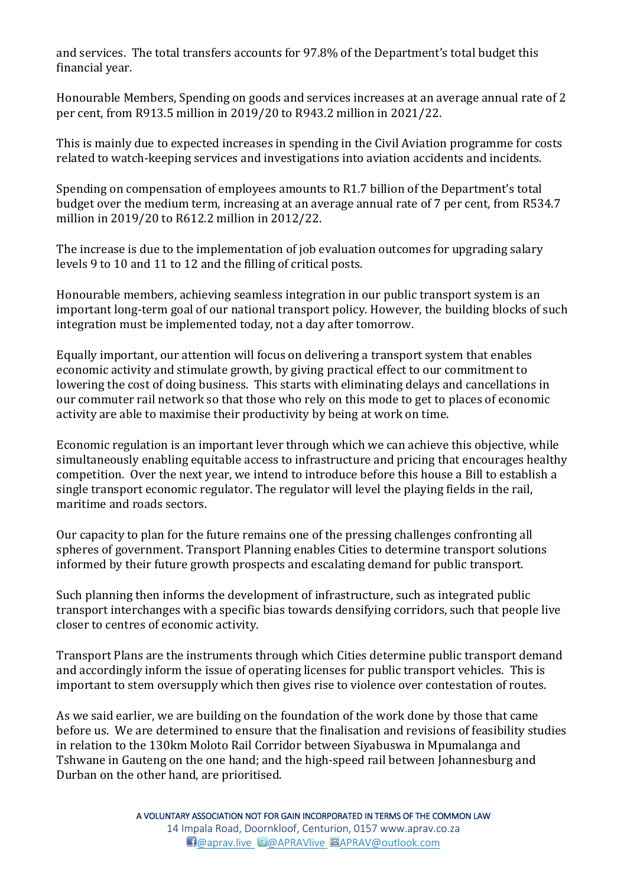and services. The total transfers accounts for 97.8% of the Department's total budget this financial year.

Honourable Members, Spending on goods and services increases at an average annual rate of 2 per cent, from R913.5 million in 2019/20 to R943.2 million in 2021/22.

This is mainly due to expected increases in spending in the Civil Aviation programme for costs related to watch-keeping services and investigations into aviation accidents and incidents.

Spending on compensation of employees amounts to R1.7 billion of the Department's total budget over the medium term, increasing at an average annual rate of 7 per cent, from R534.7 million in 2019/20 to R612.2 million in 2012/22.

The increase is due to the implementation of job evaluation outcomes for upgrading salary levels 9 to 10 and 11 to 12 and the filling of critical posts.

Honourable members, achieving seamless integration in our public transport system is an important long-term goal of our national transport policy. However, the building blocks of such integration must be implemented today, not a day after tomorrow.

Equally important, our attention will focus on delivering a transport system that enables economic activity and stimulate growth, by giving practical effect to our commitment to lowering the cost of doing business. This starts with eliminating delays and cancellations in our commuter rail network so that those who rely on this mode to get to places of economic activity are able to maximise their productivity by being at work on time.

Economic regulation is an important lever through which we can achieve this objective, while simultaneously enabling equitable access to infrastructure and pricing that encourages healthy competition. Over the next year, we intend to introduce before this house a Bill to establish a single transport economic regulator. The regulator will level the playing fields in the rail, maritime and roads sectors.

Our capacity to plan for the future remains one of the pressing challenges confronting all spheres of government. Transport Planning enables Cities to determine transport solutions informed by their future growth prospects and escalating demand for public transport.

Such planning then informs the development of infrastructure, such as integrated public transport interchanges with a specific bias towards densifying corridors, such that people live closer to centres of economic activity.

Transport Plans are the instruments through which Cities determine public transport demand and accordingly inform the issue of operating licenses for public transport vehicles. This is important to stem oversupply which then gives rise to violence over contestation of routes.

As we said earlier, we are building on the foundation of the work done by those that came before us. We are determined to ensure that the finalisation and revisions of feasibility studies in relation to the 130km Moloto Rail Corridor between Siyabuswa in Mpumalanga and Tshwane in Gauteng on the one hand; and the high-speed rail between Johannesburg and Durban on the other hand, are prioritised.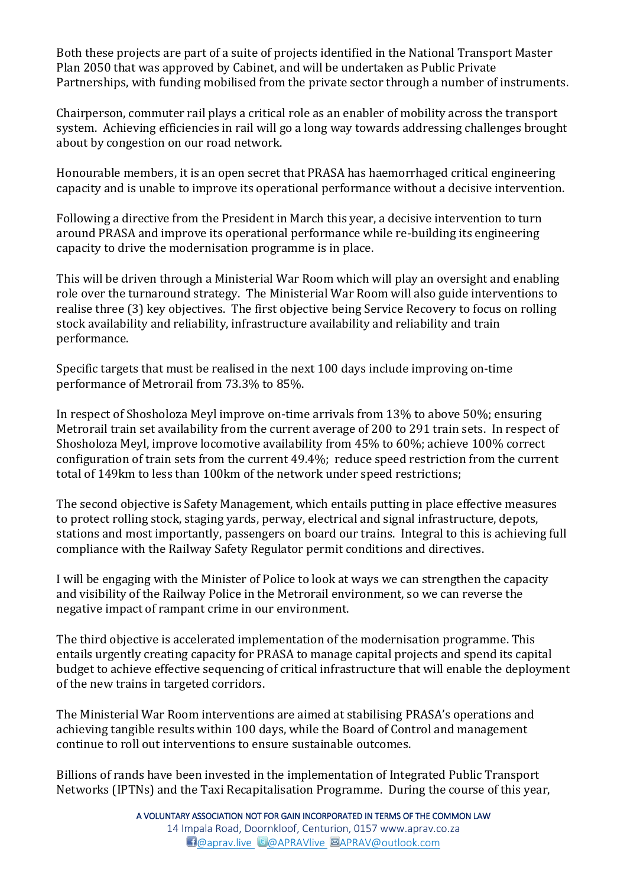Both these projects are part of a suite of projects identified in the National Transport Master Plan 2050 that was approved by Cabinet, and will be undertaken as Public Private Partnerships, with funding mobilised from the private sector through a number of instruments.

Chairperson, commuter rail plays a critical role as an enabler of mobility across the transport system. Achieving efficiencies in rail will go a long way towards addressing challenges brought about by congestion on our road network.

Honourable members, it is an open secret that PRASA has haemorrhaged critical engineering capacity and is unable to improve its operational performance without a decisive intervention.

Following a directive from the President in March this year, a decisive intervention to turn around PRASA and improve its operational performance while re-building its engineering capacity to drive the modernisation programme is in place.

This will be driven through a Ministerial War Room which will play an oversight and enabling role over the turnaround strategy. The Ministerial War Room will also guide interventions to realise three (3) key objectives. The first objective being Service Recovery to focus on rolling stock availability and reliability, infrastructure availability and reliability and train performance.

Specific targets that must be realised in the next 100 days include improving on-time performance of Metrorail from 73.3% to 85%.

In respect of Shosholoza Meyl improve on-time arrivals from 13% to above 50%; ensuring Metrorail train set availability from the current average of 200 to 291 train sets. In respect of Shosholoza Meyl, improve locomotive availability from 45% to 60%; achieve 100% correct configuration of train sets from the current 49.4%; reduce speed restriction from the current total of 149km to less than 100km of the network under speed restrictions;

The second objective is Safety Management, which entails putting in place effective measures to protect rolling stock, staging yards, perway, electrical and signal infrastructure, depots, stations and most importantly, passengers on board our trains. Integral to this is achieving full compliance with the Railway Safety Regulator permit conditions and directives.

I will be engaging with the Minister of Police to look at ways we can strengthen the capacity and visibility of the Railway Police in the Metrorail environment, so we can reverse the negative impact of rampant crime in our environment.

The third objective is accelerated implementation of the modernisation programme. This entails urgently creating capacity for PRASA to manage capital projects and spend its capital budget to achieve effective sequencing of critical infrastructure that will enable the deployment of the new trains in targeted corridors.

The Ministerial War Room interventions are aimed at stabilising PRASA's operations and achieving tangible results within 100 days, while the Board of Control and management continue to roll out interventions to ensure sustainable outcomes.

Billions of rands have been invested in the implementation of Integrated Public Transport Networks (IPTNs) and the Taxi Recapitalisation Programme. During the course of this year,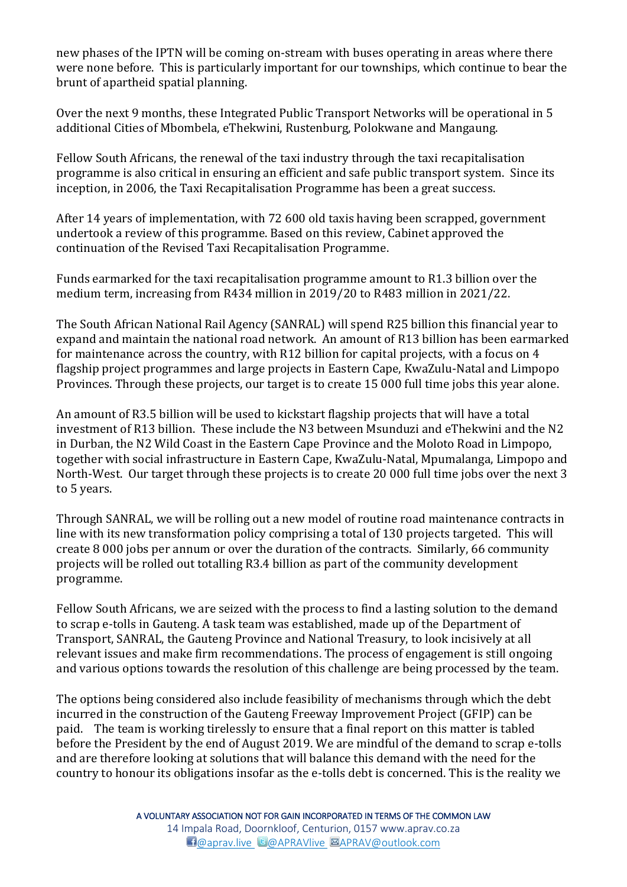new phases of the IPTN will be coming on-stream with buses operating in areas where there were none before. This is particularly important for our townships, which continue to bear the brunt of apartheid spatial planning.

Over the next 9 months, these Integrated Public Transport Networks will be operational in 5 additional Cities of Mbombela, eThekwini, Rustenburg, Polokwane and Mangaung.

Fellow South Africans, the renewal of the taxi industry through the taxi recapitalisation programme is also critical in ensuring an efficient and safe public transport system. Since its inception, in 2006, the Taxi Recapitalisation Programme has been a great success.

After 14 years of implementation, with 72 600 old taxis having been scrapped, government undertook a review of this programme. Based on this review, Cabinet approved the continuation of the Revised Taxi Recapitalisation Programme.

Funds earmarked for the taxi recapitalisation programme amount to R1.3 billion over the medium term, increasing from R434 million in 2019/20 to R483 million in 2021/22.

The South African National Rail Agency (SANRAL) will spend R25 billion this financial year to expand and maintain the national road network. An amount of R13 billion has been earmarked for maintenance across the country, with R12 billion for capital projects, with a focus on 4 flagship project programmes and large projects in Eastern Cape, KwaZulu-Natal and Limpopo Provinces. Through these projects, our target is to create 15 000 full time jobs this year alone.

An amount of R3.5 billion will be used to kickstart flagship projects that will have a total investment of R13 billion. These include the N3 between Msunduzi and eThekwini and the N2 in Durban, the N2 Wild Coast in the Eastern Cape Province and the Moloto Road in Limpopo, together with social infrastructure in Eastern Cape, KwaZulu-Natal, Mpumalanga, Limpopo and North-West. Our target through these projects is to create 20 000 full time jobs over the next 3 to 5 years.

Through SANRAL, we will be rolling out a new model of routine road maintenance contracts in line with its new transformation policy comprising a total of 130 projects targeted. This will create 8 000 jobs per annum or over the duration of the contracts. Similarly, 66 community projects will be rolled out totalling R3.4 billion as part of the community development programme.

Fellow South Africans, we are seized with the process to find a lasting solution to the demand to scrap e-tolls in Gauteng. A task team was established, made up of the Department of Transport, SANRAL, the Gauteng Province and National Treasury, to look incisively at all relevant issues and make firm recommendations. The process of engagement is still ongoing and various options towards the resolution of this challenge are being processed by the team.

The options being considered also include feasibility of mechanisms through which the debt incurred in the construction of the Gauteng Freeway Improvement Project (GFIP) can be paid. The team is working tirelessly to ensure that a final report on this matter is tabled before the President by the end of August 2019. We are mindful of the demand to scrap e-tolls and are therefore looking at solutions that will balance this demand with the need for the country to honour its obligations insofar as the e-tolls debt is concerned. This is the reality we